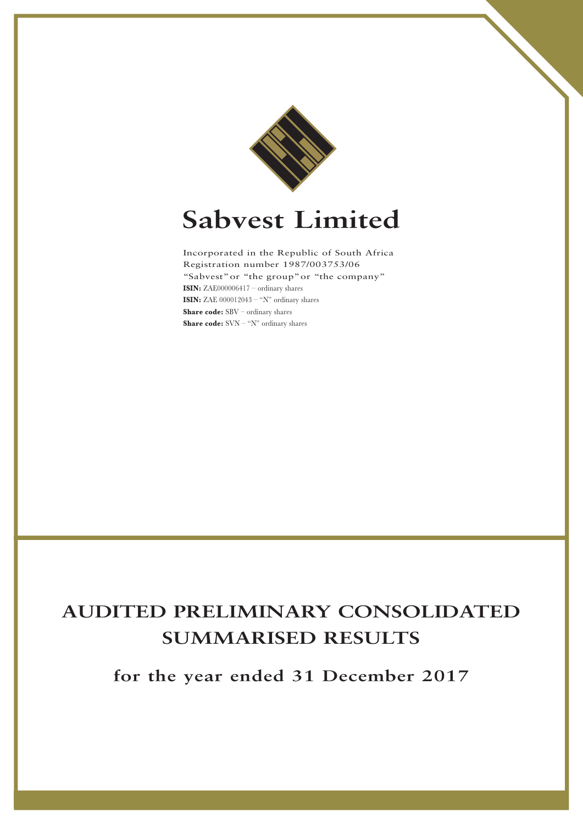

# **Sabvest Limited**

Incorporated in the Republic of South Africa Registration number 1987/003753/06 "Sabvest"or "the group"or "the company" **ISIN:** ZAE000006417 – ordinary shares **ISIN:** ZAE  $000012043 - "N"$  ordinary shares **Share code:** SBV – ordinary shares **Share code:** SVN – "N" ordinary shares

## **AUDITED PRELIMINARY CONSOLIDATED SUMMARISED RESULTS**

**for the year ended 31 December 2017**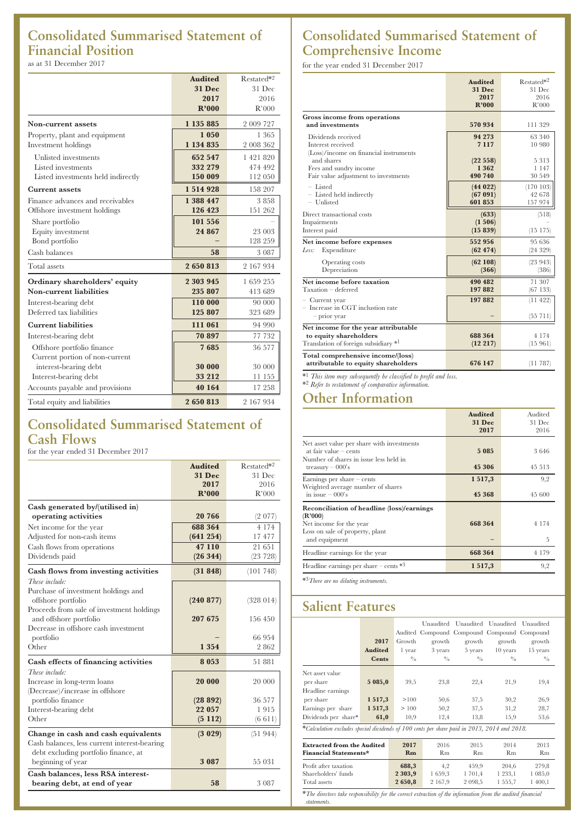## **Consolidated Summarised Statement of Financial Position**

as at 31 December 2017

|                                    | <b>Audited</b> | Restated*2 |
|------------------------------------|----------------|------------|
|                                    | <b>31 Dec</b>  | 31 Dec     |
|                                    | 2017           | 2016       |
|                                    | R'000          | R'000      |
| Non-current assets                 | 1 135 885      | 2 009 727  |
| Property, plant and equipment      | 1 050          | 1 365      |
| Investment holdings                | 1 134 835      | 2 008 362  |
| Unlisted investments               | 652 547        | 1 421 820  |
| Listed investments                 | 332 279        | 474 492    |
| Listed investments held indirectly | 150 009        | 112 050    |
| <b>Current assets</b>              | 1514928        | 158 207    |
| Finance advances and receivables   | 1 388 447      | 3858       |
| Offshore investment holdings       | 126 423        | 151 262    |
| Share portfolio                    | 101 556        |            |
| Equity investment                  | 24 867         | 23 003     |
| Bond portfolio                     |                | 128 259    |
| Cash balances                      | 58             | 3 0 8 7    |
| Total assets                       | 2650813        | 2 167 934  |
| Ordinary shareholders' equity      | 2 303 945      | 1 659 255  |
| Non-current liabilities            | 235 807        | 413 689    |
| Interest-bearing debt              | 110 000        | 90 000     |
| Deferred tax liabilities           | 125 807        | 323 689    |
| <b>Current liabilities</b>         | 111 061        | 94 990     |
| Interest-bearing debt              | 70 897         | 77 732     |
| Offshore portfolio finance         | 7685           | 36 577     |
| Current portion of non-current     |                |            |
| interest-bearing debt              | 30 000         | 30 000     |
| Interest-bearing debt              | 33 212         | 11 155     |
| Accounts payable and provisions    | 40 164         | 17 258     |
| Total equity and liabilities       | 2650813        | 2 167 934  |

## **Consolidated Summarised Statement of Cash Flows**

for the year ended 31 December 2017

|                                              | <b>Audited</b> | Restated*2 |
|----------------------------------------------|----------------|------------|
|                                              | <b>31 Dec</b>  | 31 Dec     |
|                                              | 2017           | 2016       |
|                                              | R'000          | R'000      |
| Cash generated by/(utilised in)              |                |            |
| operating activities                         | 20 766         | (2 077)    |
| Net income for the year                      | 688 364        | 4 1 7 4    |
| Adjusted for non-cash items                  | (641 254)      | 17477      |
| Cash flows from operations                   | 47 110         | 21 651     |
| Dividends paid                               | (26344)        | (23 728)   |
| Cash flows from investing activities         | (31 848)       | (101748)   |
| These include:                               |                |            |
| Purchase of investment holdings and          |                |            |
| offshore portfolio                           | (240 877)      | (328014)   |
| Proceeds from sale of investment holdings    |                |            |
| and offshore portfolio                       | 207 675        | 156 450    |
| Decrease in offshore cash investment         |                | 66 954     |
| portfolio<br>Other                           | 1 3 5 4        | 2862       |
|                                              |                |            |
| Cash effects of financing activities         | 8 0 5 3        | 51881      |
| These include:                               |                |            |
| Increase in long-term loans                  | 20 000         | 20 000     |
| (Decrease)/increase in offshore              |                |            |
| portfolio finance                            | (28892)        | 36 577     |
| Interest-bearing debt                        | 22 057         | 1915       |
| Other                                        | (5112)         | (6 611)    |
| Change in cash and cash equivalents          | (3 029)        | (51944)    |
| Cash balances, less current interest-bearing |                |            |
| debt excluding portfolio finance, at         |                |            |
| beginning of year                            | 3 0 8 7        | 55 031     |
| Cash balances, less RSA interest-            |                |            |
| bearing debt, at end of year                 | 58             | 3 0 8 7    |

## **Consolidated Summarised Statement of Comprehensive Income**

for the year ended 31 December 2017

|                                                                                                        | <b>Audited</b><br><b>31 Dec</b><br>2017<br>R'000 | Restated*2<br>31 Dec<br>2016<br>R'000 |
|--------------------------------------------------------------------------------------------------------|--------------------------------------------------|---------------------------------------|
| Gross income from operations<br>and investments                                                        | 570 934                                          | 111 329                               |
| Dividends received<br>Interest received<br>(Loss)/income on financial instruments<br>and shares        | 94 273<br>7 1 1 7<br>(22558)                     | 63 340<br>10 980<br>5313              |
| Fees and sundry income<br>Fair value adjustment to investments                                         | 1 3 6 2<br>490 740                               | 1 1 4 7<br>30 549                     |
| $-$ Listed<br>- Listed held indirectly<br>- Unlisted                                                   | (44022)<br>(67091)<br>601 853                    | (170103)<br>42 678<br>157 974         |
| Direct transactional costs<br>Impairments<br>Interest paid                                             | (633)<br>(1506)<br>(15839)                       | (518)<br>(15175)                      |
| Net income before expenses<br>Less:<br>Expenditure                                                     | 552 956<br>(62 474)                              | 95 636<br>(24329)                     |
| Operating costs<br>Depreciation                                                                        | (62108)<br>(366)                                 | (23943)<br>(386)                      |
| Net income before taxation<br>Taxation - deferred                                                      | 490 482<br>197882                                | 71 307<br>(67133)                     |
| - Current year<br>$-$ Increase in CGT inclustion rate<br>$-$ prior year                                | 197882                                           | (11422)<br>(55 711)                   |
| Net income for the year attributable<br>to equity shareholders<br>Translation of foreign subsidiary *1 | 688 364<br>(12 217)                              | 4 1 7 4<br>(15961)                    |
| Total comprehensive income/(loss)<br>attributable to equity shareholders                               | 676 147                                          | (11787)                               |

\*1 *This item may subsequently be classified to profit and loss.* \*2 *Refer to restatement of comparative information.*

### **Other Information**

|                                                                                                                 | <b>Audited</b><br><b>31 Dec</b><br>2017 | Audited<br>31 Dec<br>2016 |
|-----------------------------------------------------------------------------------------------------------------|-----------------------------------------|---------------------------|
| Net asset value per share with investments<br>at fair value $-$ cents<br>Number of shares in issue less held in | 5 0 8 5                                 | 3646                      |
| treasury $-000$ 's                                                                                              | 45 306                                  | 45 513                    |
| Earnings per share $-$ cents<br>Weighted average number of shares                                               | 1 5 1 7 , 3                             | 9,2                       |
| in issue $-000$ 's                                                                                              | 45 368                                  | 45 600                    |
| Reconciliation of headline (loss)/earnings<br>(R'000)                                                           |                                         |                           |
| Net income for the year<br>Loss on sale of property, plant                                                      | 668 364                                 | 4 1 7 4                   |
| and equipment                                                                                                   |                                         | 5                         |
| Headline earnings for the year                                                                                  | 668 364                                 | 4 1 7 9                   |
| Headline earnings per share $-$ cents $*3$                                                                      | 1 5 1 7 , 3                             | 9,2                       |
| * <sup>3</sup> There are no diluting instruments.                                                               |                                         |                           |

## **Salient Features**

|                                                                                                                                  | 2017           | Growth        | growth  | growth             | Unaudited Unaudited Unaudited Unaudited<br>Audited Compound Compound Compound Compound<br>growth | growth      |
|----------------------------------------------------------------------------------------------------------------------------------|----------------|---------------|---------|--------------------|--------------------------------------------------------------------------------------------------|-------------|
|                                                                                                                                  | <b>Audited</b> | l year        | 3 years | 5 years            | $10$ years                                                                                       | 15 years    |
|                                                                                                                                  | <b>Cents</b>   | $\frac{0}{0}$ | 0/0     | $\frac{0}{\alpha}$ | 0/0                                                                                              | $^{0}/_{0}$ |
| Net asset value                                                                                                                  |                |               |         |                    |                                                                                                  |             |
| per share                                                                                                                        | 5 085,0        | 39.5          | 23,8    | 22,4               | 21,9                                                                                             | 19,4        |
| Headline earnings                                                                                                                |                |               |         |                    |                                                                                                  |             |
| per share                                                                                                                        | 1517,3         | >100          | 50,6    | 37,5               | 30,2                                                                                             | 26,9        |
| Earnings per share                                                                                                               | 1 5 1 7 , 3    | >100          | 50,2    | 37,5               | 31,2                                                                                             | 28,7        |
| Dividends per share*                                                                                                             | 61,0           | 10,9          | 12,4    | 13,8               | 15,9                                                                                             | 53,6        |
| *Calculation excludes special dividends of 100 cents per share paid in 2013, 2014 and 2018.                                      |                |               |         |                    |                                                                                                  |             |
| <b>Extracted from the Audited</b><br>2017<br>2016<br>2015<br>2014<br>Rm<br><b>Financial Statements*</b><br>Rm<br>Rm<br><b>Rm</b> |                |               |         |                    | 2013<br><b>Rm</b>                                                                                |             |
| Profit after taxation                                                                                                            |                |               | 4,2     | 459,9              | 204,6                                                                                            | 279.8       |
| Shareholders' funds                                                                                                              |                |               | 1659.3  | 1 701,4            | 1 233,1                                                                                          | 1 085,0     |
| Total assets                                                                                                                     |                | 2650,8        | 2 167,9 | 2 098,5            | 1555,7                                                                                           | 1 400,1     |

\**The directors take responsibility for the correct extraction of the information from the audited financial statements.*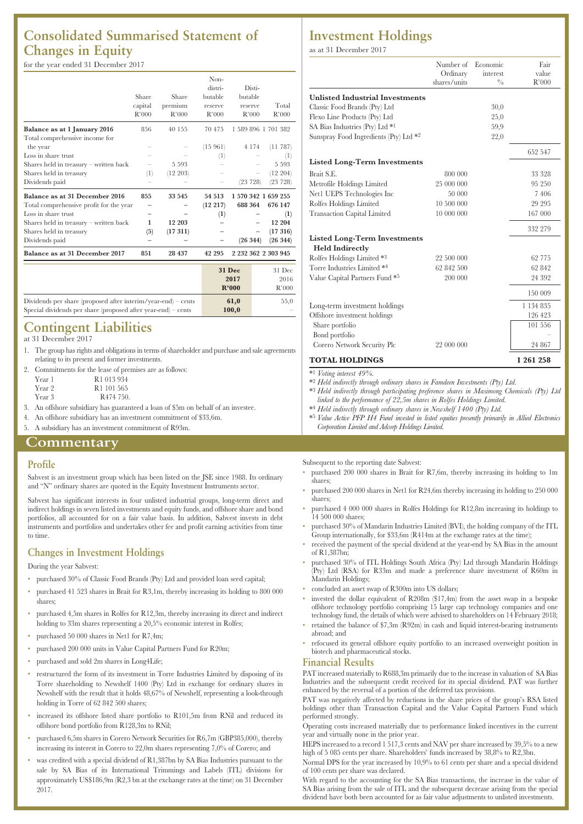## **Consolidated Summarised Statement of Changes in Equity**

#### for the year ended 31 December 2017

|                                         |                  |          | Non-             |               |                     |
|-----------------------------------------|------------------|----------|------------------|---------------|---------------------|
|                                         |                  |          | distri-          | Disti-        |                     |
|                                         | Share            | Share    | butable          | butable       |                     |
|                                         | capital          | premium  | reserve          | reserve       | Total               |
|                                         | R'000            | R'000    | R'000            | R'000         | R'000               |
| Balance as at 1 January 2016            | 856              | 40 155   | 70 475           |               | 1 589 896 1 701 382 |
| Total comprehensive income for          |                  |          |                  |               |                     |
| the year                                |                  |          | (15961)          | 4 1 7 4       | (11787)             |
| Loss in share trust                     |                  |          | $\left(1\right)$ |               | $^{(1)}$            |
| Shares held in treasury - written back  |                  | 5 5 9 3  |                  |               | 5 5 9 3             |
| Shares held in treasury                 | $\left(1\right)$ | (12 203) |                  |               | (12 204)            |
| Dividends paid                          |                  |          |                  | (23 728)      | (23 728)            |
| Balance as at 31 December 2016          | 855              | 33 545   | 54 513           |               | 1 570 342 1 659 255 |
| Total comprehensive profit for the year |                  |          | (12 217)         | 688 364       | 676 147             |
| Loss in share trust                     |                  |          | (1)              |               | (1)                 |
| Shares held in treasury – written back  | 1                | 12 203   |                  |               | 12 204              |
| Shares held in treasury                 | (5)              | (17311)  |                  |               | (17316)             |
| Dividends paid                          |                  |          |                  | (26 344)      | (26 344)            |
| Balance as at 31 December 2017          | 851              | 28 437   | 42 295           |               | 2 232 362 2 303 945 |
|                                         |                  |          |                  | <b>31 Dec</b> | 31 Dec              |
|                                         |                  |          |                  | 2017          | 2016                |
|                                         |                  |          |                  |               |                     |

|                                                                                                                                  | <b>2017</b><br>R'000 | 2016<br>R'000 |
|----------------------------------------------------------------------------------------------------------------------------------|----------------------|---------------|
| Dividends per share (proposed after interim/year-end) – cents<br>Special dividends per share (proposed after year-end) $-$ cents | 61.0<br>100.0        | 55,0          |

#### **Contingent Liabilities** at 31 December 2017

- 
- 1. The group has rights and obligations in terms of shareholder and purchase and sale agreements relating to its present and former investments.
- 2. Commitments for the lease of premises are as follows:

| Year 1 | R <sub>1</sub> 013 934 |
|--------|------------------------|
| Year 2 | R <sub>1</sub> 101 565 |
| Year 3 | R <sub>474</sub> 750.  |

- 3. An offshore subsidiary has guaranteed a loan of \$5m on behalf of an investee.
- 4. An offshore subsidiary has an investment commitment of \$33,6m.
- 5. A subsidiary has an investment commitment of R93m.

#### **Commentary**

#### **Profile**

Sabvest is an investment group which has been listed on the JSE since 1988. Its ordinary and "N" ordinary shares are quoted in the Equity Investment Instruments sector.

Sabvest has significant interests in four unlisted industrial groups, long-term direct and indirect holdings in seven listed investments and equity funds, and offshore share and bond portfolios, all accounted for on a fair value basis. In addition, Sabvest invests in debt instruments and portfolios and undertakes other fee and profit earning activities from time to time.

#### **Changes in Investment Holdings**

During the year Sabvest:

- purchased 30% of Classic Food Brands (Pty) Ltd and provided loan seed capital;
- purchased 41 523 shares in Brait for R3,1m, thereby increasing its holding to 800 000 shares;
- purchased 4,5m shares in Rolfes for R12,3m, thereby increasing its direct and indirect holding to 33m shares representing a 20,5% economic interest in Rolfes;
- purchased 50 000 shares in Net1 for R7,4m;
- purchased 200 000 units in Value Capital Partners Fund for R20m;
- purchased and sold 2m shares in Long4Life;
- restructured the form of its investment in Torre Industries Limited by disposing of its Torre shareholding to Newshelf 1400 (Pty) Ltd in exchange for ordinary shares in Newshelf with the result that it holds 48,67% of Newshelf, representing a look-through holding in Torre of 62 842 500 shares;
- increased its offshore listed share portfolio to R101,5m from RNil and reduced its offshore bond portfolio from R128,3m to RNil;
- purchased 6,5m shares in Corero Network Securities for R6,7m (GBP385,000), thereby increasing its interest in Corero to 22,0m shares representing 7,0% of Corero; and
- was credited with a special dividend of R1,387bn by SA Bias Industries pursuant to the sale by SA Bias of its International Trimmings and Labels (ITL) divisions for approximately US\$186,9m (R2,3 bn at the exchange rates at the time) on 31 December 2017.

#### **Investment Holdings**

as at 31 December 2017

|                                             | Number of Economic<br>Ordinary<br>shares/units | interest<br>$\frac{0}{0}$ | Fair<br>value<br>R'000 |
|---------------------------------------------|------------------------------------------------|---------------------------|------------------------|
| <b>Unlisted Industrial Investments</b>      |                                                |                           |                        |
| Classic Food Brands (Pty) Ltd               |                                                | 30,0                      |                        |
| Flexo Line Products (Pty) Ltd               |                                                | 25,0                      |                        |
| SA Bias Industries (Pty) Ltd * <sup>1</sup> |                                                | 59,9                      |                        |
| Sunspray Food Ingredients (Pty) Ltd *2      |                                                | 22,0                      |                        |
|                                             |                                                |                           | 652 547                |
| <b>Listed Long-Term Investments</b>         |                                                |                           |                        |
| Brait S.E.                                  | 800 000                                        |                           | 33 328                 |
| Metrofile Holdings Limited                  | 25 000 000                                     |                           | 95 250                 |
| Net1 UEPS Technologies Inc                  | 50 000                                         |                           | 7 4 0 6                |
| Rolfes Holdings Limited                     | 10 500 000                                     |                           | 29 295                 |
| <b>Transaction Capital Limited</b>          | 10 000 000                                     |                           | 167 000                |
|                                             |                                                |                           | 332 279                |
| <b>Listed Long-Term Investments</b>         |                                                |                           |                        |
| <b>Held Indirectly</b>                      |                                                |                           |                        |
| Rolfes Holdings Limited *3                  | 22 500 000                                     |                           | 62 775                 |
| Torre Industries Limited *4                 | 62 842 500                                     |                           | 62 842                 |
| Value Capital Partners Fund *5              | 200 000                                        |                           | 24 392                 |
|                                             |                                                |                           | 150 009                |
| Long-term investment holdings               |                                                |                           | 1 134 835              |
| Offshore investment holdings                |                                                |                           | 126 423                |
| Share portfolio                             |                                                |                           | 101 556                |
| Bond portfolio                              |                                                |                           |                        |
| Corero Network Security Plc                 | 22 000 000                                     |                           | 24 867                 |
| TOTAL HOLDINGS                              |                                                |                           | 1 261 258              |

\*1 *Voting interest 49%.*

\*2 *Held indirectly through ordinary shares in Famdeen Investments (Pty) Ltd.*

- \*3 *Held indirectly through participating preference shares in Masimong Chemicals (Pty) Ltd linked to the performance of 22,5m shares in Rolfes Holdings Limited.*
- \*4 *Held indirectly through ordinary shares in Newshelf 1400 (Pty) Ltd.*
- \*5 *Value Active PFP H4 Fund invested in listed equities presently primarily in Allied Electronics Corporation Limited and Adcorp Holdings Limited.*

Subsequent to the reporting date Sabvest:

- purchased 200 000 shares in Brait for R7,6m, thereby increasing its holding to 1m shares;
- purchased 200 000 shares in Net1 for R24,6m thereby increasing its holding to 250 000 shares;
- purchased 4 000 000 shares in Rolfes Holdings for R12,8m increasing its holdings to 14 500 000 shares:
- purchased 30% of Mandarin Industries Limited (BVI), the holding company of the ITL Group internationally, for \$33,6m (R414m at the exchange rates at the time);
- received the payment of the special dividend at the year-end by SA Bias in the amount of R1,387bn;
- purchased 30% of ITL Holdings South Africa (Pty) Ltd through Mandarin Holdings (Pty) Ltd (RSA) for R33m and made a preference share investment of R60m in Mandarin Holdings;
- concluded an asset swap of R300m into US dollars;
- invested the dollar equivalent of R208m (\$17,4m) from the asset swap in a bespoke offshore technology portfolio comprising 15 large cap technology companies and one technology fund, the details of which were advised to shareholders on 14 February 2018;
- retained the balance of \$7,3m (R92m) in cash and liquid interest-bearing instruments abroad; and
- refocused its general offshore equity portfolio to an increased overweight position in biotech and pharmaceutical stocks.

#### **Financial Results**

PAT increased materially to R688,3m primarily due to the increase in valuation of SA Bias Industries and the subsequent credit received for its special dividend. PAT was further enhanced by the reversal of a portion of the deferred tax provisions.

PAT was negatively affected by reductions in the share prices of the group's RSA listed holdings other than Transaction Capital and the Value Capital Partners Fund which performed strongly.

Operating costs increased materially due to performance linked incentives in the current year and virtually none in the prior year.

HEPS increased to a record 1 517,3 cents and NAV per share increased by 39,5% to a new high of 5 085 cents per share. Shareholders' funds increased by 38,8% to R2,3bn.

Normal DPS for the year increased by 10,9% to 61 cents per share and a special dividend of 100 cents per share was declared.

With regard to the accounting for the SA Bias transactions, the increase in the value of SA Bias arising from the sale of ITL and the subsequent decrease arising from the special dividend have both been accounted for as fair value adjustments to unlisted investments.